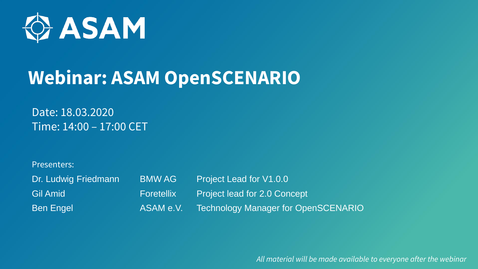

# **Webinar: ASAM OpenSCENARIO**

Date: 18.03.2020 Time: 14:00 – 17:00 CET

Presenters:

| Dr. Ludwig Friedmann | <b>BMWAG</b> | <b>Project Lead for V1.0.0</b>             |
|----------------------|--------------|--------------------------------------------|
| Gil Amid             | Foretellix   | Project lead for 2.0 Concept               |
| <b>Ben Engel</b>     | ASAM e.V.    | <b>Technology Manager for OpenSCENARIO</b> |

*All material will be made available to everyone after the webinar*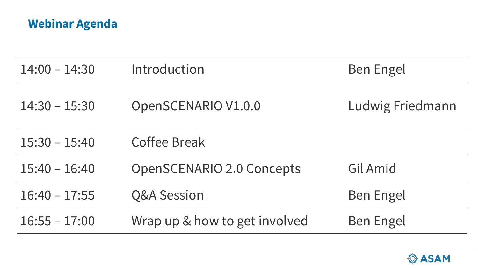## **Webinar Agenda**

| $14:00 - 14:30$ | Introduction                     | <b>Ben Engel</b> |
|-----------------|----------------------------------|------------------|
| $14:30 - 15:30$ | OpenSCENARIO V1.0.0              | Ludwig Friedmann |
| $15:30 - 15:40$ | <b>Coffee Break</b>              |                  |
| $15:40 - 16:40$ | <b>OpenSCENARIO 2.0 Concepts</b> | Gil Amid         |
| $16:40 - 17:55$ | <b>Q&amp;A Session</b>           | <b>Ben Engel</b> |
| $16:55 - 17:00$ | Wrap up & how to get involved    | <b>Ben Engel</b> |

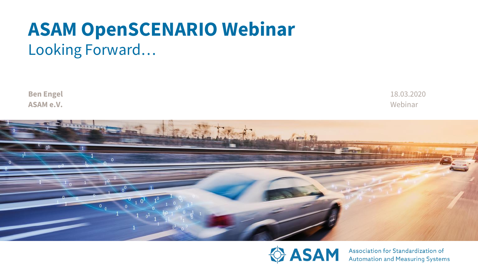# **ASAM OpenSCENARIO Webinar**  Looking Forward…

**Ben Engel ASAM e.V.**

Webinar 18.03.2020





Association for Standardization of Automation and Measuring Systems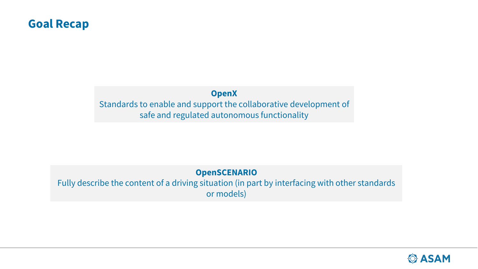### **Goal Recap**

### **OpenX** Standards to enable and support the collaborative development of safe and regulated autonomous functionality

### **OpenSCENARIO**

Fully describe the content of a driving situation (in part by interfacing with other standards or models)

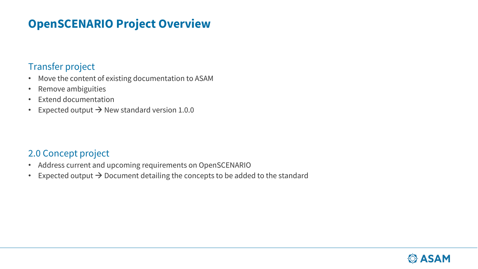### **OpenSCENARIO Project Overview**

### Transfer project

- Move the content of existing documentation to ASAM
- Remove ambiguities
- Extend documentation
- Expected output  $\rightarrow$  New standard version 1.0.0

### 2.0 Concept project

- Address current and upcoming requirements on OpenSCENARIO
- Expected output  $\rightarrow$  Document detailing the concepts to be added to the standard

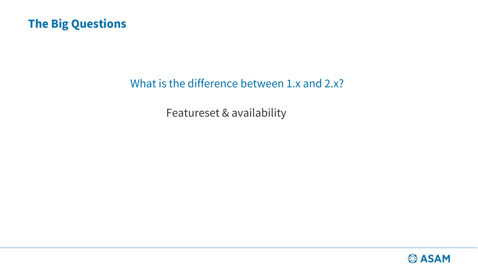### **The Big Questions**

### What is the difference between 1.x and 2.x?

Featureset & availability

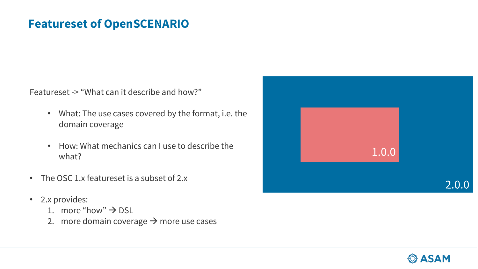### **Featureset of OpenSCENARIO**

Featureset -> "What can it describe and how?"

- What: The use cases covered by the format, i.e. the domain coverage
- How: What mechanics can I use to describe the what?
- The OSC 1.x featureset is a subset of 2.x
- 2.x provides:
	- 1. more "how"  $\rightarrow$  DSL
	- 2. more domain coverage  $\rightarrow$  more use cases



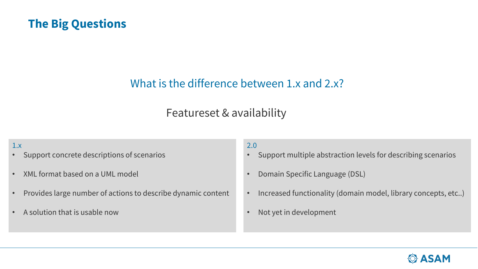### **The Big Questions**

### What is the difference between 1.x and 2.x?

### Featureset & availability

#### 1.x

- Support concrete descriptions of scenarios
- XML format based on a UML model
- Provides large number of actions to describe dynamic content
- A solution that is usable now

#### 2.0

- Support multiple abstraction levels for describing scenarios
- Domain Specific Language (DSL)
- Increased functionality (domain model, library concepts, etc..)
- Not yet in development

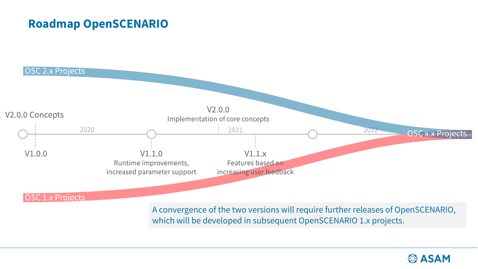### **Roadmap OpenSCENARIO**



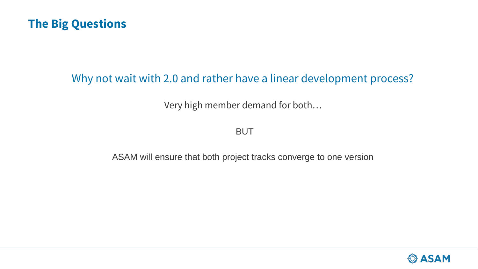

### Why not wait with 2.0 and rather have a linear development process?

Very high member demand for both…

BUT

ASAM will ensure that both project tracks converge to one version

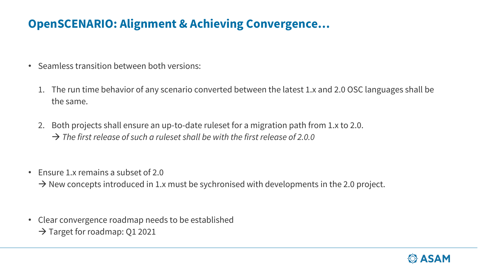## **OpenSCENARIO: Alignment & Achieving Convergence…**

- Seamless transition between both versions:
	- 1. The run time behavior of any scenario converted between the latest 1.x and 2.0 OSC languages shall be the same.
	- 2. Both projects shall ensure an up-to-date ruleset for a migration path from 1.x to 2.0. → *The first release of such a ruleset shall be with the first release of 2.0.0*
- Ensure 1.x remains a subset of 2.0

 $\rightarrow$  New concepts introduced in 1.x must be sychronised with developments in the 2.0 project.

• Clear convergence roadmap needs to be established  $\rightarrow$  Target for roadmap: Q1 2021

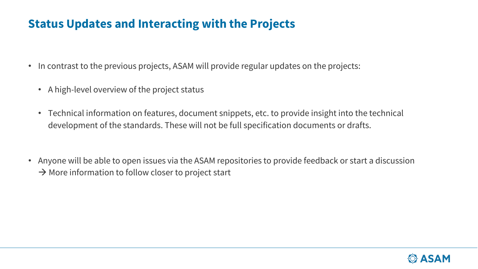### **Status Updates and Interacting with the Projects**

- In contrast to the previous projects, ASAM will provide regular updates on the projects:
	- A high-level overview of the project status
	- Technical information on features, document snippets, etc. to provide insight into the technical development of the standards. These will not be full specification documents or drafts.
- Anyone will be able to open issues via the ASAM repositories to provide feedback or start a discussion  $\rightarrow$  More information to follow closer to project start

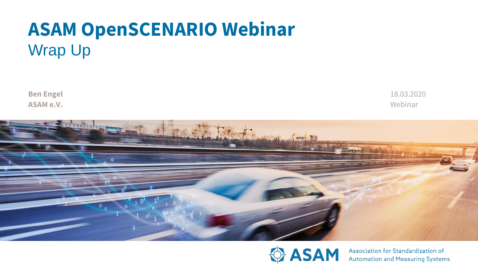# **ASAM OpenSCENARIO Webinar**  Wrap Up

**Ben Engel ASAM e.V.**

18.03.2020 Webinar





Association for Standardization of Automation and Measuring Systems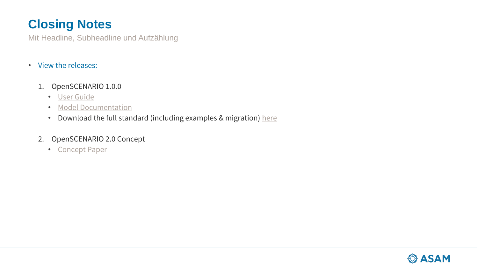## **Closing Notes**

Mit Headline, Subheadline und Aufzählung

• View the releases:

#### 1. OpenSCENARIO 1.0.0

- [User Guide](https://releases.asam.net/OpenSCENARIO/1.0.0/ASAM_OpenSCENARIO_BS-1-2_User-Guide_V1-0-0.html)
- [Model Documentation](https://releases.asam.net/OpenSCENARIO/1.0.0/Model-Documentation/index.html)
- Download the full standard (including examples & migration) [here](https://www.asam.net/standards/detail/openscenario/)

### 2. OpenSCENARIO 2.0 Concept

• [Concept Paper](https://releases.asam.net/OpenSCENARIO/2.0-concepts/ASAM_OpenSCENARIO_2-0_Concept_Paper.html)

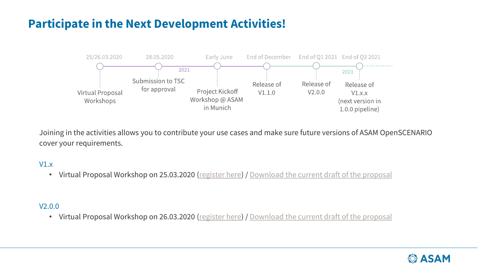## **Participate in the Next Development Activities!**



Joining in the activities allows you to contribute your use cases and make sure future versions of ASAM OpenSCENARIO cover your requirements.

#### V1.x

• Virtual Proposal Workshop on 25.03.2020 [\(register here\)](https://www.asam.net/conferences-events/detail/asam-openscenario-v1x/registration-30/) / [Download the current draft of the proposal](https://code.asam.net/simulation/proposal/openscenario/1.x/-/jobs/artifacts/master/raw/P2020_OpenSCENARIO_1-x_Project_Proposal.html?job=html)

#### V2.0.0

• Virtual Proposal Workshop on 26.03.2020 [\(register here\)](https://www.asam.net/conferences-events/detail/asam-openscenario-v20/registration-31/) / [Download the current draft of the proposal](https://code.asam.net/simulation/proposal/openscenario/2.0/-/jobs/artifacts/master/raw/P2020_OpenSCENARIO_2-0_Project_Proposal.html?job=html)

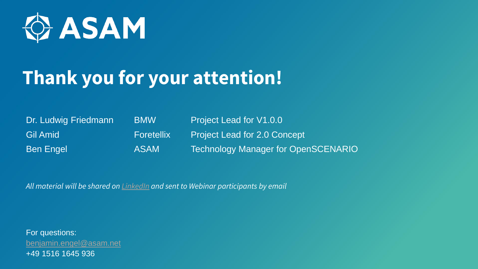

# **Thank you for your attention!**

Dr. Ludwig Friedmann BMW Project Lead for V1.0.0

Gil Amid **Foretellix** Project Lead for 2.0 Concept Ben Engel **ASAM** Technology Manager for OpenSCENARIO

*All material will be shared on [LinkedIn](https://www.linkedin.com/company/asam-e-v---association-for-standardization-of-automation-and-measuring-systems/) and sent to Webinar participants by email*

For questions: [benjamin.engel@asam.net](mailto:benjamin.engel@asam.net) +49 1516 1645 936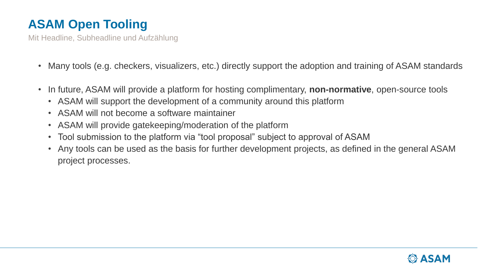# **ASAM Open Tooling**

Mit Headline, Subheadline und Aufzählung

- Many tools (e.g. checkers, visualizers, etc.) directly support the adoption and training of ASAM standards
- In future, ASAM will provide a platform for hosting complimentary, **non-normative**, open-source tools
	- ASAM will support the development of a community around this platform
	- ASAM will not become a software maintainer
	- ASAM will provide gatekeeping/moderation of the platform
	- Tool submission to the platform via "tool proposal" subject to approval of ASAM
	- Any tools can be used as the basis for further development projects, as defined in the general ASAM project processes.